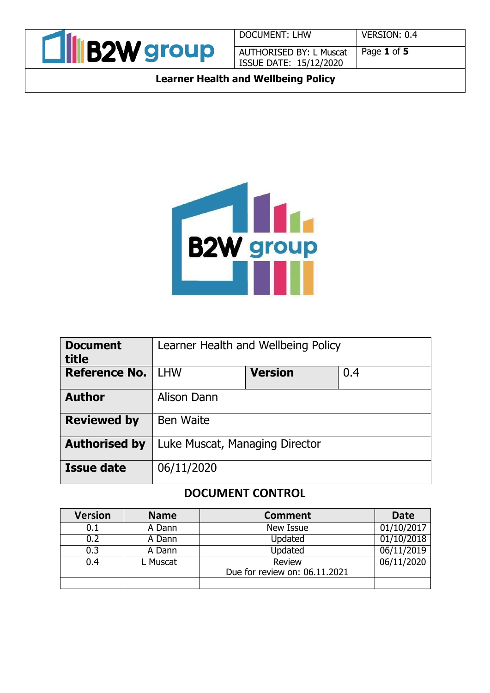

DOCUMENT: LHW VERSION: 0.4 AUTHORISED BY: L Muscat ISSUE DATE: 15/12/2020

Page **1** of **5**

**Learner Health and Wellbeing Policy**



| <b>Document</b>      | Learner Health and Wellbeing Policy |                |     |  |
|----------------------|-------------------------------------|----------------|-----|--|
| title                |                                     |                |     |  |
| <b>Reference No.</b> | <b>LHW</b>                          | <b>Version</b> | 0.4 |  |
| <b>Author</b>        | Alison Dann                         |                |     |  |
| <b>Reviewed by</b>   | <b>Ben Waite</b>                    |                |     |  |
| <b>Authorised by</b> | Luke Muscat, Managing Director      |                |     |  |
| <b>Issue date</b>    | 06/11/2020                          |                |     |  |

# **DOCUMENT CONTROL**

| <b>Version</b> | <b>Name</b> | <b>Comment</b>                          | <b>Date</b>         |
|----------------|-------------|-----------------------------------------|---------------------|
| 0.1            | A Dann      | New Issue                               | $\sqrt{01/10}/2017$ |
| 0.2            | A Dann      | Updated                                 | 01/10/2018          |
| 0.3            | A Dann      | Updated                                 | 06/11/2019          |
| 0.4            | L Muscat    | Review<br>Due for review on: 06.11.2021 | 06/11/2020          |
|                |             |                                         |                     |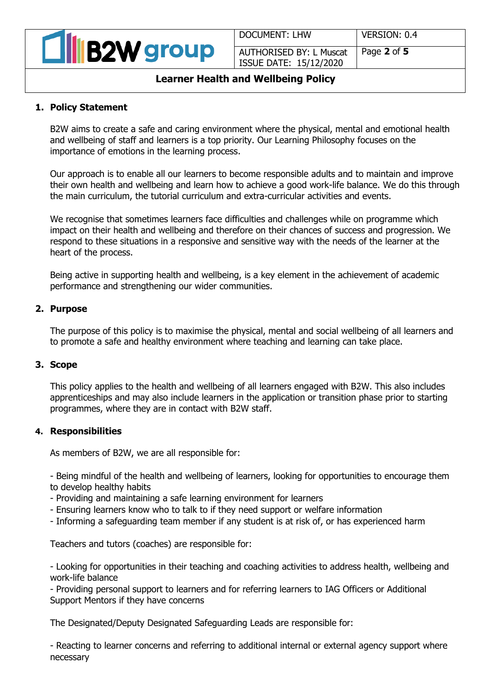| <b>All B2W group</b> |
|----------------------|
|----------------------|

DOCUMENT: LHW VERSION: 0.4

AUTHORISED BY: L Muscat ISSUE DATE: 15/12/2020

# Page **2** of **5**

# **Learner Health and Wellbeing Policy**

# **1. Policy Statement**

B2W aims to create a safe and caring environment where the physical, mental and emotional health and wellbeing of staff and learners is a top priority. Our Learning Philosophy focuses on the importance of emotions in the learning process.

Our approach is to enable all our learners to become responsible adults and to maintain and improve their own health and wellbeing and learn how to achieve a good work-life balance. We do this through the main curriculum, the tutorial curriculum and extra-curricular activities and events.

We recognise that sometimes learners face difficulties and challenges while on programme which impact on their health and wellbeing and therefore on their chances of success and progression. We respond to these situations in a responsive and sensitive way with the needs of the learner at the heart of the process.

Being active in supporting health and wellbeing, is a key element in the achievement of academic performance and strengthening our wider communities.

## **2. Purpose**

The purpose of this policy is to maximise the physical, mental and social wellbeing of all learners and to promote a safe and healthy environment where teaching and learning can take place.

## **3. Scope**

This policy applies to the health and wellbeing of all learners engaged with B2W. This also includes apprenticeships and may also include learners in the application or transition phase prior to starting programmes, where they are in contact with B2W staff.

## **4. Responsibilities**

As members of B2W, we are all responsible for:

- Being mindful of the health and wellbeing of learners, looking for opportunities to encourage them to develop healthy habits

- Providing and maintaining a safe learning environment for learners

- Ensuring learners know who to talk to if they need support or welfare information
- Informing a safeguarding team member if any student is at risk of, or has experienced harm

Teachers and tutors (coaches) are responsible for:

- Looking for opportunities in their teaching and coaching activities to address health, wellbeing and work-life balance

- Providing personal support to learners and for referring learners to IAG Officers or Additional Support Mentors if they have concerns

The Designated/Deputy Designated Safeguarding Leads are responsible for:

- Reacting to learner concerns and referring to additional internal or external agency support where necessary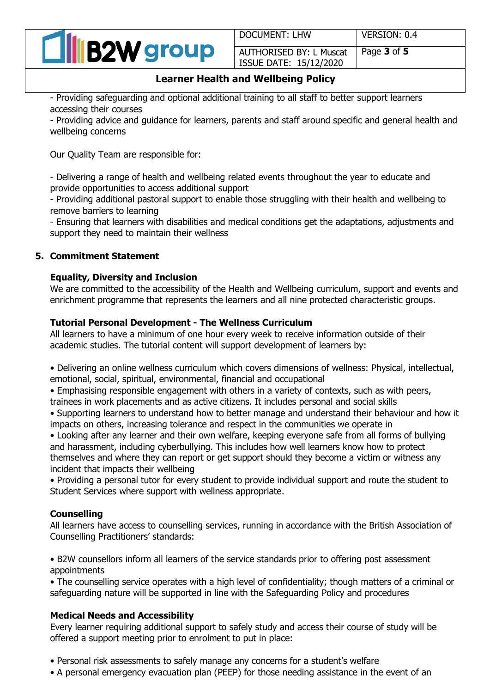

DOCUMENT: LHW VERSION: 0.4

AUTHORISED BY: L Muscat ISSUE DATE: 15/12/2020 Page **3** of **5**

# **Learner Health and Wellbeing Policy**

- Providing safeguarding and optional additional training to all staff to better support learners accessing their courses

- Providing advice and guidance for learners, parents and staff around specific and general health and wellbeing concerns

Our Quality Team are responsible for:

- Delivering a range of health and wellbeing related events throughout the year to educate and provide opportunities to access additional support

- Providing additional pastoral support to enable those struggling with their health and wellbeing to remove barriers to learning

- Ensuring that learners with disabilities and medical conditions get the adaptations, adjustments and support they need to maintain their wellness

## **5. Commitment Statement**

#### **Equality, Diversity and Inclusion**

We are committed to the accessibility of the Health and Wellbeing curriculum, support and events and enrichment programme that represents the learners and all nine protected characteristic groups.

# **Tutorial Personal Development - The Wellness Curriculum**

All learners to have a minimum of one hour every week to receive information outside of their academic studies. The tutorial content will support development of learners by:

• Delivering an online wellness curriculum which covers dimensions of wellness: Physical, intellectual, emotional, social, spiritual, environmental, financial and occupational

• Emphasising responsible engagement with others in a variety of contexts, such as with peers, trainees in work placements and as active citizens. It includes personal and social skills

• Supporting learners to understand how to better manage and understand their behaviour and how it impacts on others, increasing tolerance and respect in the communities we operate in

• Looking after any learner and their own welfare, keeping everyone safe from all forms of bullying and harassment, including cyberbullying. This includes how well learners know how to protect themselves and where they can report or get support should they become a victim or witness any incident that impacts their wellbeing

• Providing a personal tutor for every student to provide individual support and route the student to Student Services where support with wellness appropriate.

## **Counselling**

All learners have access to counselling services, running in accordance with the British Association of Counselling Practitioners' standards:

• B2W counsellors inform all learners of the service standards prior to offering post assessment appointments

• The counselling service operates with a high level of confidentiality; though matters of a criminal or safeguarding nature will be supported in line with the Safeguarding Policy and procedures

## **Medical Needs and Accessibility**

Every learner requiring additional support to safely study and access their course of study will be offered a support meeting prior to enrolment to put in place:

- Personal risk assessments to safely manage any concerns for a student's welfare
- A personal emergency evacuation plan (PEEP) for those needing assistance in the event of an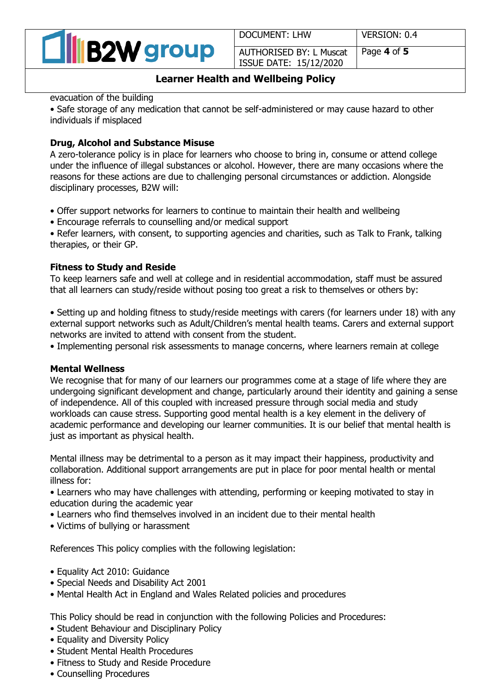

DOCUMENT: LHW VERSION: 0.4

AUTHORISED BY: L Muscat ISSUE DATE: 15/12/2020

Page **4** of **5**

## **Learner Health and Wellbeing Policy**

evacuation of the building

• Safe storage of any medication that cannot be self-administered or may cause hazard to other individuals if misplaced

# **Drug, Alcohol and Substance Misuse**

A zero-tolerance policy is in place for learners who choose to bring in, consume or attend college under the influence of illegal substances or alcohol. However, there are many occasions where the reasons for these actions are due to challenging personal circumstances or addiction. Alongside disciplinary processes, B2W will:

- Offer support networks for learners to continue to maintain their health and wellbeing
- Encourage referrals to counselling and/or medical support

• Refer learners, with consent, to supporting agencies and charities, such as Talk to Frank, talking therapies, or their GP.

# **Fitness to Study and Reside**

To keep learners safe and well at college and in residential accommodation, staff must be assured that all learners can study/reside without posing too great a risk to themselves or others by:

• Setting up and holding fitness to study/reside meetings with carers (for learners under 18) with any external support networks such as Adult/Children's mental health teams. Carers and external support networks are invited to attend with consent from the student.

• Implementing personal risk assessments to manage concerns, where learners remain at college

## **Mental Wellness**

We recognise that for many of our learners our programmes come at a stage of life where they are undergoing significant development and change, particularly around their identity and gaining a sense of independence. All of this coupled with increased pressure through social media and study workloads can cause stress. Supporting good mental health is a key element in the delivery of academic performance and developing our learner communities. It is our belief that mental health is just as important as physical health.

Mental illness may be detrimental to a person as it may impact their happiness, productivity and collaboration. Additional support arrangements are put in place for poor mental health or mental illness for:

• Learners who may have challenges with attending, performing or keeping motivated to stay in education during the academic year

- Learners who find themselves involved in an incident due to their mental health
- Victims of bullying or harassment

References This policy complies with the following legislation:

- Equality Act 2010: Guidance
- Special Needs and Disability Act 2001
- Mental Health Act in England and Wales Related policies and procedures

This Policy should be read in conjunction with the following Policies and Procedures:

- Student Behaviour and Disciplinary Policy
- Equality and Diversity Policy
- Student Mental Health Procedures
- Fitness to Study and Reside Procedure
- Counselling Procedures